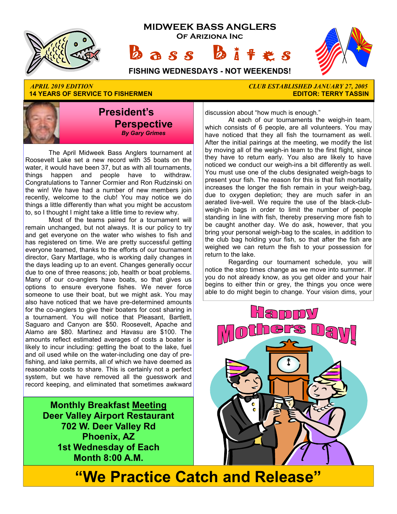

**14 YEARS OF SERVICE TO FISHERMEN** 

# *APRIL 2019 EDITION CLUB ESTABLISHED JANUARY 27, 2005*

**President's Perspective**   *By Gary Grimes*

 The April Midweek Bass Anglers tournament at Roosevelt Lake set a new record with 35 boats on the water, it would have been 37, but as with all tournaments, things happen and people have to withdraw. Congratulations to Tanner Cormier and Ron Rudzinski on the win! We have had a number of new members join recently, welcome to the club! You may notice we do things a little differently than what you might be accustom to, so I thought I might take a little time to review why.

 Most of the teams paired for a tournament will remain unchanged, but not always. It is our policy to try and get everyone on the water who wishes to fish and has registered on time. We are pretty successful getting everyone teamed, thanks to the efforts of our tournament director, Gary Martlage, who is working daily changes in the days leading up to an event. Changes generally occur due to one of three reasons; job, health or boat problems. Many of our co-anglers have boats, so that gives us options to ensure everyone fishes. We never force someone to use their boat, but we might ask. You may also have noticed that we have pre-determined amounts for the co-anglers to give their boaters for cost sharing in a tournament. You will notice that Pleasant, Bartlett, Saguaro and Canyon are \$50. Roosevelt, Apache and Alamo are \$80. Martinez and Havasu are \$100. The amounts reflect estimated averages of costs a boater is likely to incur including: getting the boat to the lake, fuel and oil used while on the water-including one day of prefishing, and lake permits, all of which we have deemed as reasonable costs to share. This is certainly not a perfect system, but we have removed all the guesswork and record keeping, and eliminated that sometimes awkward

> **Monthly Breakfast Meeting Deer Valley Airport Restaurant 702 W. Deer Valley Rd Phoenix, AZ 1st Wednesday of Each Month 8:00 A.M.**

discussion about "how much is enough."

 At each of our tournaments the weigh-in team, which consists of 6 people, are all volunteers. You may have noticed that they all fish the tournament as well. After the initial pairings at the meeting, we modify the list by moving all of the weigh-in team to the first flight, since they have to return early. You also are likely to have noticed we conduct our weigh-ins a bit differently as well. You must use one of the clubs designated weigh-bags to present your fish. The reason for this is that fish mortality increases the longer the fish remain in your weigh-bag, due to oxygen depletion; they are much safer in an aerated live-well. We require the use of the black-clubweigh-in bags in order to limit the number of people standing in line with fish, thereby preserving more fish to be caught another day. We do ask, however, that you bring your personal weigh-bag to the scales, in addition to the club bag holding your fish, so that after the fish are weighed we can return the fish to your possession for return to the lake.

 Regarding our tournament schedule, you will notice the stop times change as we move into summer. If you do not already know, as you get older and your hair begins to either thin or grey, the things you once were able to do might begin to change. Your vision dims, your



**"We Practice Catch and Release"**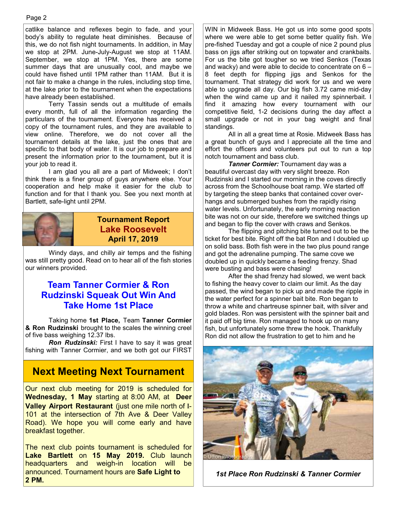catlike balance and reflexes begin to fade, and your body's ability to regulate heat diminishes. Because of this, we do not fish night tournaments. In addition, in May we stop at 2PM. June-July-August we stop at 11AM. September, we stop at 1PM. Yes, there are some summer days that are unusually cool, and maybe we could have fished until 1PM rather than 11AM. But it is not fair to make a change in the rules, including stop time, at the lake prior to the tournament when the expectations have already been established.

 Terry Tassin sends out a multitude of emails every month, full of all the information regarding the particulars of the tournament. Everyone has received a copy of the tournament rules, and they are available to view online. Therefore, we do not cover all the tournament details at the lake, just the ones that are specific to that body of water. It is our job to prepare and present the information prior to the tournament, but it is your job to read it.

 I am glad you all are a part of Midweek; I don't think there is a finer group of guys anywhere else. Your cooperation and help make it easier for the club to function and for that I thank you. See you next month at Bartlett, safe-light until 2PM.



#### **Tournament Report Lake Roosevelt April 17, 2019**

 Windy days, and chilly air temps and the fishing was still pretty good. Read on to hear all of the fish stories our winners provided.

#### **Team Tanner Cormier & Ron Rudzinski Squeak Out Win And Take Home 1st Place**

 Taking home **1st Place,** Team **Tanner Cormier & Ron Rudzinski** brought to the scales the winning creel of five bass weighing 12.37 lbs.

 *Ron Rudzinski:* First I have to say it was great fishing with Tanner Cormier, and we both got our FIRST

## **Next Meeting Next Tournament**

Our next club meeting for 2019 is scheduled for **Wednesday, 1 May** starting at 8:00 AM, at **Deer Valley Airport Restaurant** (just one mile north of I-101 at the intersection of 7th Ave & Deer Valley Road). We hope you will come early and have breakfast together.

The next club points tournament is scheduled for **Lake Bartlett** on **15 May 2019.** Club launch headquarters and weigh-in location will be announced. Tournament hours are **Safe Light to 2 PM.** 

WIN in Midweek Bass. He got us into some good spots where we were able to get some better quality fish. We pre-fished Tuesday and got a couple of nice 2 pound plus bass on jigs after striking out on topwater and crankbaits. For us the bite got tougher so we tried Senkos (Texas and wacky) and were able to decide to concentrate on 6 – 8 feet depth for flipping jigs and Senkos for the tournament. That strategy did work for us and we were able to upgrade all day. Our big fish 3.72 came mid-day when the wind came up and it nailed my spinnerbait. I find it amazing how every tournament with our competitive field, 1-2 decisions during the day affect a small upgrade or not in your bag weight and final standings.

 All in all a great time at Rosie. Midweek Bass has a great bunch of guys and I appreciate all the time and effort the officers and volunteers put out to run a top notch tournament and bass club.

 *Tanner Cormier:* Tournament day was a beautiful overcast day with very slight breeze. Ron Rudzinski and I started our morning in the coves directly across from the Schoolhouse boat ramp. We started off by targeting the steep banks that contained cover overhangs and submerged bushes from the rapidly rising water levels. Unfortunately, the early morning reaction bite was not on our side, therefore we switched things up and began to flip the cover with craws and Senkos.

 The flipping and pitching bite turned out to be the ticket for best bite. Right off the bat Ron and I doubled up on solid bass. Both fish were in the two plus pound range and got the adrenaline pumping. The same cove we doubled up in quickly became a feeding frenzy. Shad were busting and bass were chasing!

 After the shad frenzy had slowed, we went back to fishing the heavy cover to claim our limit. As the day passed, the wind began to pick up and made the ripple in the water perfect for a spinner bait bite. Ron began to throw a white and chartreuse spinner bait, with silver and gold blades. Ron was persistent with the spinner bait and it paid off big time. Ron managed to hook up on many fish, but unfortunately some threw the hook. Thankfully Ron did not allow the frustration to get to him and he



*1st Place Ron Rudzinski & Tanner Cormier*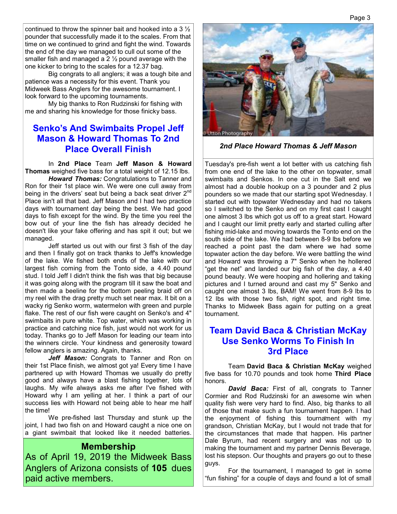continued to throw the spinner bait and hooked into a 3  $\frac{1}{2}$ pounder that successfully made it to the scales. From that time on we continued to grind and fight the wind. Towards the end of the day we managed to cull out some of the smaller fish and managed a  $2\frac{1}{2}$  pound average with the one kicker to bring to the scales for a 12.37 bag.

 Big congrats to all anglers; it was a tough bite and patience was a necessity for this event. Thank you Midweek Bass Anglers for the awesome tournament. I look forward to the upcoming tournaments.

 My big thanks to Ron Rudzinski for fishing with me and sharing his knowledge for those finicky bass.

#### **Senko's And Swimbaits Propel Jeff Mason & Howard Thomas To 2nd Place Overall Finish**

 In **2nd Place** Team **Jeff Mason & Howard Thomas** weighed five bass for a total weight of 12.15 lbs.

 *Howard Thomas:* Congratulations to Tanner and Ron for their 1st place win. We were one cull away from being in the drivers' seat but being a back seat driver 2<sup>nd</sup> Place isn't all that bad. Jeff Mason and I had two practice days with tournament day being the best. We had good days to fish except for the wind. By the time you reel the bow out of your line the fish has already decided he doesn't like your fake offering and has spit it out; but we managed.

 Jeff started us out with our first 3 fish of the day and then I finally got on track thanks to Jeff's knowledge of the lake. We fished both ends of the lake with our largest fish coming from the Tonto side, a 4.40 pound stud. I told Jeff I didn't think the fish was that big because it was going along with the program till it saw the boat and then made a beeline for the bottom peeling braid off on my reel with the drag pretty much set near max. It bit on a wacky rig Senko worm, watermelon with green and purple flake. The rest of our fish were caught on Senko's and 4" swimbaits in pure white. Top water, which was working in practice and catching nice fish, just would not work for us today. Thanks go to Jeff Mason for leading our team into the winners circle. Your kindness and generosity toward fellow anglers is amazing. Again, thanks.

Jeff Mason: Congrats to Tanner and Ron on their 1st Place finish, we almost got ya! Every time I have partnered up with Howard Thomas we usually do pretty good and always have a blast fishing together, lots of laughs. My wife always asks me after I've fished with Howard why I am yelling at her. I think a part of our success lies with Howard not being able to hear me half the time!

 We pre-fished last Thursday and stunk up the joint, I had two fish on and Howard caught a nice one on a giant swimbait that looked like it needed batteries.

#### **Membership**

As of April 19, 2019 the Midweek Bass Anglers of Arizona consists of **105** dues paid active members.



*2nd Place Howard Thomas & Jeff Mason*

Tuesday's pre-fish went a lot better with us catching fish from one end of the lake to the other on topwater, small swimbaits and Senkos. In one cut in the Salt end we almost had a double hookup on a 3 pounder and 2 plus pounders so we made that our starting spot Wednesday. I started out with topwater Wednesday and had no takers so I switched to the Senko and on my first cast I caught one almost 3 lbs which got us off to a great start. Howard and I caught our limit pretty early and started culling after fishing mid-lake and moving towards the Tonto end on the south side of the lake. We had between 8-9 lbs before we reached a point past the dam where we had some topwater action the day before. We were battling the wind and Howard was throwing a 7" Senko when he hollered "get the net" and landed our big fish of the day, a 4.40 pound beauty. We were hooping and hollering and taking pictures and I turned around and cast my 5" Senko and caught one almost 3 lbs, BAM! We went from 8-9 lbs to 12 lbs with those two fish, right spot, and right time. Thanks to Midweek Bass again for putting on a great tournament.

#### **Team David Baca & Christian McKay Use Senko Worms To Finish In 3rd Place**

 Team **David Baca & Christian McKay** weighed five bass for 10.70 pounds and took home **Third Place**  honors.

 *David Baca:* First of all, congrats to Tanner Cormier and Rod Rudzinski for an awesome win when quality fish were very hard to find. Also, big thanks to all of those that make such a fun tournament happen. I had the enjoyment of fishing this tournament with my grandson, Christian McKay, but I would not trade that for the circumstances that made that happen. His partner Dale Byrum, had recent surgery and was not up to making the tournament and my partner Dennis Beverage, lost his stepson. Our thoughts and prayers go out to these guys.

 For the tournament, I managed to get in some "fun fishing" for a couple of days and found a lot of small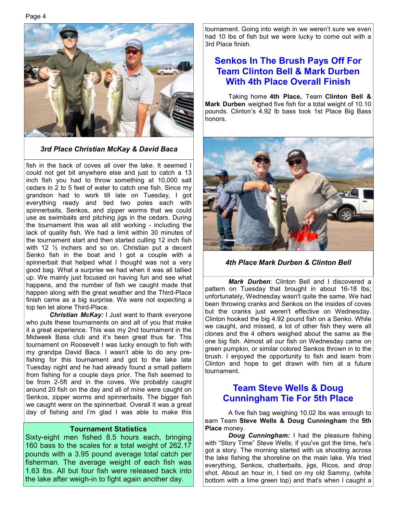Page 4



*3rd Place Christian McKay & David Baca*

fish in the back of coves all over the lake. It seemed I could not get bit anywhere else and just to catch a 13 inch fish you had to throw something at 10,000 salt cedars in 2 to 5 feet of water to catch one fish. Since my grandson had to work till late on Tuesday, I got everything ready and tied two poles each with spinnerbaits, Senkos, and zipper worms that we could use as swimbaits and pitching jigs in the cedars. During the tournament this was all still working - including the lack of quality fish. We had a limit within 30 minutes of the tournament start and then started culling 12 inch fish with 12  $\frac{1}{2}$  inchers and so on. Christian put a decent Senko fish in the boat and I got a couple with a spinnerbait that helped what I thought was not a very good bag. What a surprise we had when it was all tallied up. We mainly just focused on having fun and see what happens, and the number of fish we caught made that happen along with the great weather and the Third-Place finish came as a big surprise. We were not expecting a top ten let alone Third-Place.

*Christian McKay:* I Just want to thank everyone who puts these tournaments on and all of you that make it a great experience. This was my 2nd tournament in the Midweek Bass club and it's been great thus far. This tournament on Roosevelt I was lucky enough to fish with my grandpa David Baca. I wasn't able to do any prefishing for this tournament and got to the lake late Tuesday night and he had already found a small pattern from fishing for a couple days prior. The fish seemed to be from 2-5ft and in the coves. We probably caught around 20 fish on the day and all of mine were caught on Senkos, zipper worms and spinnerbaits. The bigger fish we caught were on the spinnerbait. Overall it was a great day of fishing and I'm glad I was able to make this

#### **Tournament Statistics**

Sixty-eight men fished 8.5 hours each, bringing 160 bass to the scales for a total weight of 262.17 pounds with a 3.95 pound average total catch per fisherman. The average weight of each fish was 1.63 lbs. All but four fish were released back into the lake after weigh-in to fight again another day.

tournament. Going into weigh in we weren't sure we even had 10 lbs of fish but we were lucky to come out with a 3rd Place finish.

#### **Senkos In The Brush Pays Off For Team Clinton Bell & Mark Durben With 4th Place Overall Finish**

 Taking home **4th Place,** Team **Clinton Bell & Mark Durben** weighed five fish for a total weight of 10.10 pounds. Clinton's 4.92 lb bass took 1st Place Big Bass honors.



*4th Place Mark Durben & Clinton Bell* 

 *Mark Durben*: Clinton Bell and I discovered a pattern on Tuesday that brought in about 16-18 lbs; unfortunately, Wednesday wasn't quite the same. We had been throwing cranks and Senkos on the insides of coves but the cranks just weren't effective on Wednesday. Clinton hooked the big 4.92 pound fish on a Senko. While we caught, and missed, a lot of other fish they were all clones and the 4 others weighed about the same as the one big fish. Almost all our fish on Wednesday came on green pumpkin, or similar colored Senkos thrown in to the brush. I enjoyed the opportunity to fish and learn from Clinton and hope to get drawn with him at a future tournament.

#### **Team Steve Wells & Doug Cunningham Tie For 5th Place**

 A five fish bag weighing 10.02 lbs was enough to earn Team **Steve Wells & Doug Cunningham** the **5th Place** money.

 *Doug Cunningham:* I had the pleasure fishing with "Story Time" Steve Wells; if you've got the time, he's got a story. The morning started with us shooting across the lake fishing the shoreline on the main lake. We tried everything, Senkos, chatterbaits, jigs, Ricos, and drop shot. About an hour in, I tied on my old Sammy, (white bottom with a lime green top) and that's when I caught a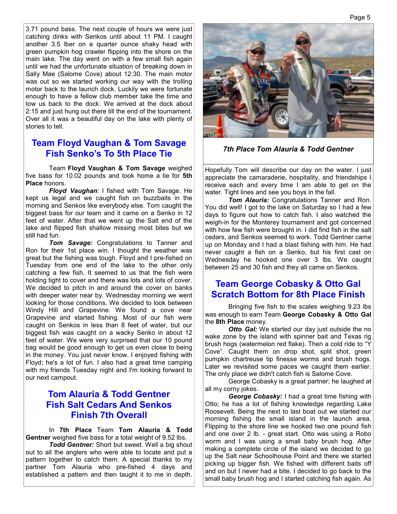3.71 pound bass. The next couple of hours we were just catching dinks with Senkos until about 11 PM. I caught another 3.5 lber on a quarter ounce shaky head with green pumpkin hog crawler flipping into the shore on the main lake. The day went on with a few small fish again until we had the unfortunate situation of breaking down in Sally Mae (Salome Cove) about 12:30. The main motor was out so we started working our way with the trolling motor back to the launch dock. Luckily we were fortunate enough to have a fellow club member take the time and tow us back to the dock. We arrived at the dock about 2:15 and just hung out there till the end of the tournament. Over all it was a beautiful day on the lake with plenty of stories to tell.

#### **Team Floyd Vaughan & Tom Savage Fish Senko's To 5th Place Tie**

 Team **Floyd Vaughan & Tom Savage** weighed five bass for 10.02 pounds and took home a tie for **5th Place** honors.

 *Floyd Vaughan*: I fished with Tom Savage. He kept us legal and we caught fish on buzzbaits in the morning and Senkos like everybody else. Tom caught the biggest bass for our team and it came on a Senko in 12 feet of water. After that we went up the Salt end of the lake and flipped fish shallow missing most bites but we still had fun.

*Tom Savage:* Congratulations to Tanner and Ron for their 1st place win. I thought the weather was great but the fishing was tough. Floyd and I pre-fished on Tuesday from one end of the lake to the other only catching a few fish. It seemed to us that the fish were holding tight to cover and there was lots and lots of cover. We decided to pitch in and around the cover on banks with deeper water near by. Wednesday morning we went looking for those conditions. We decided to look between Windy Hill and Grapevine. We found a cove near Grapevine and started fishing. Most of our fish were caught on Senkos in less than 8 feet of water, but our biggest fish was caught on a wacky Senko in about 12 feet of water. We were very surprised that our 10 pound bag would be good enough to get us even close to being in the money. You just never know. I enjoyed fishing with Floyd; he's a lot of fun. I also had a great time camping with my friends Tuesday night and I'm looking forward to our next campout.

#### **Tom Alauria & Todd Gentner Fish Salt Cedars And Senkos Finish 7th Overall**

 In **7th Place** Team **Tom Alauria & Todd Gentner** weighed five bass for a total weight of 9.52 lbs.

 *Todd Gentner:* Short but sweet. Well a big shout out to all the anglers who were able to locate and put a pattern together to catch them. A special thanks to my partner Tom Alauria who pre-fished 4 days and established a pattern and then taught it to me in depth.



*7th Place Tom Alauria & Todd Gentner* 

Hopefully Tom will describe our day on the water. I just appreciate the camaraderie, hospitality, and friendships I receive each and every time I am able to get on the water. Tight lines and see you boys in the fall.

*Tom Alauria:* Congratulations Tanner and Ron. You did well! I got to the lake on Saturday so I had a few days to figure out how to catch fish. I also watched the weigh-in for the Monterey tournament and got concerned with how few fish were brought in. I did find fish in the salt cedars, and Senkos seemed to work. Todd Gentner came up on Monday and I had a blast fishing with him. He had never caught a fish on a Senko, but his first cast on Wednesday he hooked one over 3 lbs. We caught between 25 and 30 fish and they all came on Senkos.

#### **Team George Cobasky & Otto Gal Scratch Bottom for 8th Place Finish**

 Bringing five fish to the scales weighing 9.23 lbs was enough to earn Team **George Cobasky & Otto Gal**  the **8th Place** money.

**Otto Gal:** We started our day just outside the no wake zone by the island with spinner bait and Texas rig brush hogs (watermelon red flake). Then a cold ride to "Y Cove". Caught them on drop shot, split shot, green pumpkin chartreuse tip finesse worms and brush hogs. Later we revisited some paces we caught them earlier. The only place we didn't catch fish is Salome Cove.

 George Cobasky is a great partner; he laughed at all my corny jokes.

 *George Cobasky:* I had a great time fishing with Otto; he has a lot of fishing knowledge regarding Lake Roosevelt. Being the next to last boat out we started our morning fishing the small island in the launch area. Flipping to the shore line we hooked two one pound fish and one over 2 lb. - great start. Otto was using a Robo worm and I was using a small baby brush hog. After making a complete circle of the island we decided to go up the Salt near Schoolhouse Point and there we started picking up bigger fish. We fished with different baits off and on but I never had a bite. I decided to go back to the small baby brush hog and I started catching fish again. As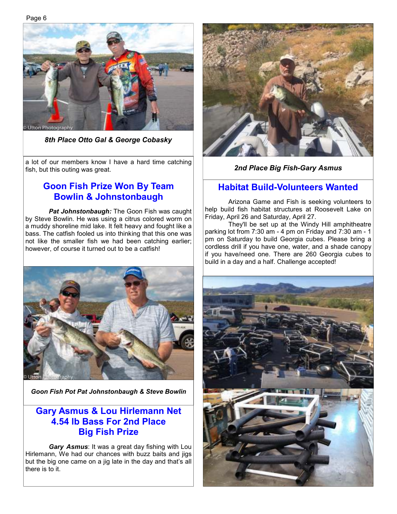Page 6



*8th Place Otto Gal & George Cobasky*

a lot of our members know I have a hard time catching fish, but this outing was great.

### **Goon Fish Prize Won By Team Bowlin & Johnstonbaugh**

 *Pat Johnstonbaugh:* The Goon Fish was caught by Steve Bowlin. He was using a citrus colored worm on a muddy shoreline mid lake. It felt heavy and fought like a bass. The catfish fooled us into thinking that this one was not like the smaller fish we had been catching earlier; however, of course it turned out to be a catfish!



*Goon Fish Pot Pat Johnstonbaugh & Steve Bowlin* 

#### **Gary Asmus & Lou Hirlemann Net 4.54 lb Bass For 2nd Place Big Fish Prize**

 *Gary Asmus*: It was a great day fishing with Lou Hirlemann, We had our chances with buzz baits and jigs but the big one came on a jig late in the day and that's all there is to it.



*2nd Place Big Fish-Gary Asmus* 

#### **Habitat Build-Volunteers Wanted**

 Arizona Game and Fish is seeking volunteers to help build fish habitat structures at Roosevelt Lake on Friday, April 26 and Saturday, April 27.

 They'll be set up at the Windy Hill amphitheatre parking lot from 7:30 am - 4 pm on Friday and 7:30 am - 1 pm on Saturday to build Georgia cubes. Please bring a cordless drill if you have one, water, and a shade canopy if you have/need one. There are 260 Georgia cubes to build in a day and a half. Challenge accepted!

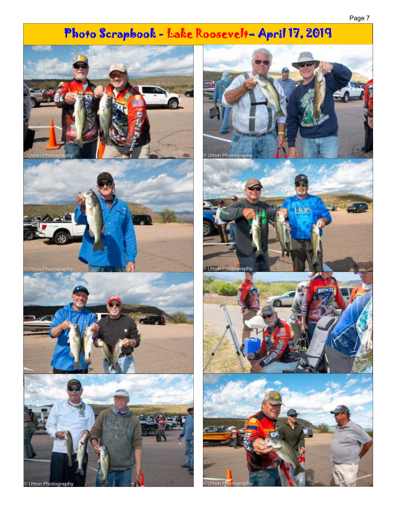# Photo Scrapbook - Lake Roosevelt- April 17, 2019